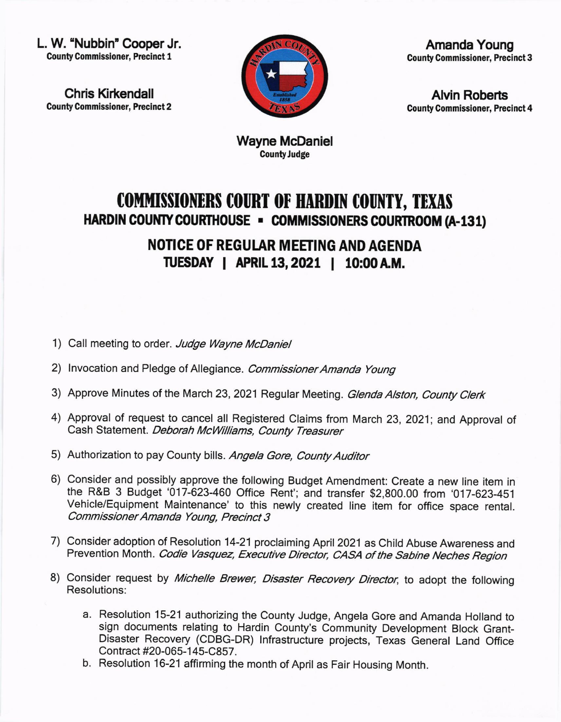**County Commissioner, Precinct 1** L. W. "Nubbin" Cooper Jr.

Chris Kirkendall **County Commissioner, Precinct 2** 



Amanda Young County Commissioner, Precinct 3

Alvin Roberts **County Commissioner, Precinct 4** 

Wayne McDaniel County Judge

## COMMISSIONERS COURT OF HARDIN COUNTY, TEXAS HARDIN COUNTY COURTHOUSE - COMMISSIONERS COURTROOM (A-131)

NOTICE OF REGUIAR MEETING AND AGENDA TUESDAY | APRIL 13, 2021 | 10:00 A.M.

- 1) Call meeting to order. Judge Wayne McDaniel
- 2) Invocation and Pledge of Allegiance. Commissioner Amanda Young
- 3) Approve Minutes of the March 23, 2021 Regular Meeting. Glenda Alston, County Clerk
- 4) Approval of request to cancel all Registered claims from March 23, 2021: and Approval of Cash Statement. Deborah McWilliams, County Treasurer
- 5) Authorization to pay County bills. Angela Gore, County Auditor
- 6) Consider and posslbly approve the following Budget Amendment: Create a new line item in the R&B 3 Budget '017-623-460 Office Rent'; and transfer \$2,800.00 from '017-623-451 Vehicle/Equipment Maintenance' to this newly created line item for office space rental. Commissioner Amanda Young, Precinct 3
- 7) Consider adoption of Resolution 14-21 proclaiming April 2021 as Child Abuse Awareness and Prevention Month. Codie Vasquez, Executive Director, CASA of the Sabine Neches Region
- 8) Consider request by Michelle Brewer, Disaster Recovery Director, to adopt the following Resolutions:
	- a. Resolution 15-21 authorizing the county Judge, Angela Gore and Amanda Holland to sign documents relating to Hardin county's community Development Block Granl Disaster Recovery (CDBG-DR) lnfrastructure projects, Texas General Land office Contract #20-065-145-C857.
	- b. Resolution 16-21 affirming the month of April as Fair Housing Month.